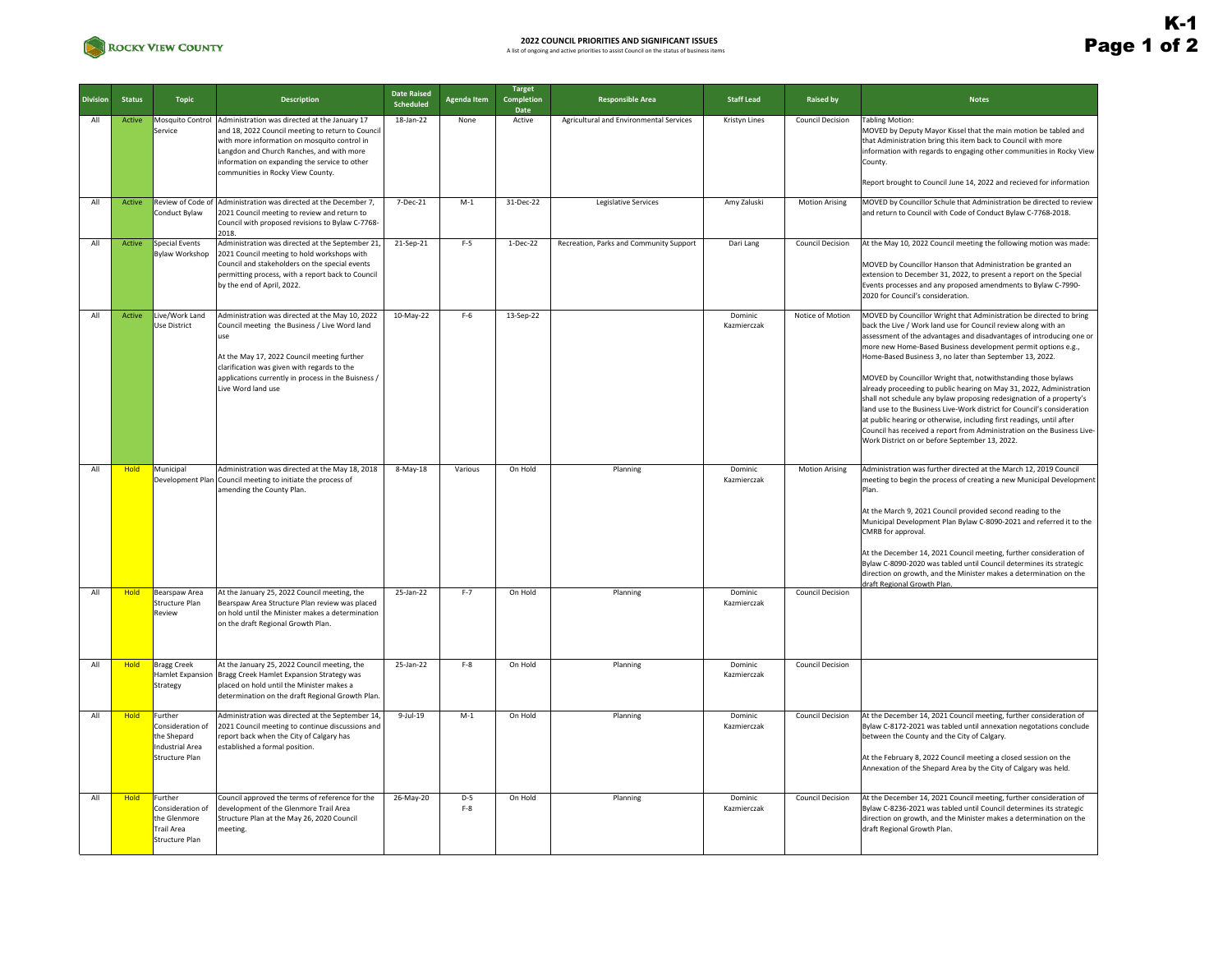

| <b>Division</b> | <b>Status</b> | <b>Topic</b>                                                                       | <b>Description</b>                                                                                                                                                                                                                                                                                     | <b>Date Raised</b><br>Scheduled | <b>Agenda Item</b> | Target<br>Completion<br>Date | <b>Responsible Area</b>                 | <b>Staff Lead</b>      | <b>Raised by</b>        | <b>Notes</b>                                                                                                                                                                                                                                                                                                                                                                                                                                                                                                                                                                                                                                                                                                                                                                                                                                 |
|-----------------|---------------|------------------------------------------------------------------------------------|--------------------------------------------------------------------------------------------------------------------------------------------------------------------------------------------------------------------------------------------------------------------------------------------------------|---------------------------------|--------------------|------------------------------|-----------------------------------------|------------------------|-------------------------|----------------------------------------------------------------------------------------------------------------------------------------------------------------------------------------------------------------------------------------------------------------------------------------------------------------------------------------------------------------------------------------------------------------------------------------------------------------------------------------------------------------------------------------------------------------------------------------------------------------------------------------------------------------------------------------------------------------------------------------------------------------------------------------------------------------------------------------------|
| All             | Active        | Service                                                                            | Mosquito Control Administration was directed at the January 17<br>and 18, 2022 Council meeting to return to Council<br>with more information on mosquito control in<br>Langdon and Church Ranches, and with more<br>information on expanding the service to other<br>communities in Rocky View County. | 18-Jan-22                       | None               | Active                       | Agricultural and Environmental Services | Kristyn Lines          | <b>Council Decision</b> | <b>Tabling Motion:</b><br>MOVED by Deputy Mayor Kissel that the main motion be tabled and<br>that Administration bring this item back to Council with more<br>information with regards to engaging other communities in Rocky View<br>County.                                                                                                                                                                                                                                                                                                                                                                                                                                                                                                                                                                                                |
|                 |               |                                                                                    |                                                                                                                                                                                                                                                                                                        |                                 |                    |                              |                                         |                        |                         | Report brought to Council June 14, 2022 and recieved for information                                                                                                                                                                                                                                                                                                                                                                                                                                                                                                                                                                                                                                                                                                                                                                         |
| All             | Active        | Conduct Bylaw                                                                      | Review of Code of Administration was directed at the December 7,<br>2021 Council meeting to review and return to<br>Council with proposed revisions to Bylaw C-7768-<br>2018.                                                                                                                          | 7-Dec-21                        | $M-1$              | 31-Dec-22                    | <b>Legislative Services</b>             | Amy Zaluski            | <b>Motion Arising</b>   | MOVED by Councillor Schule that Administration be directed to review<br>and return to Council with Code of Conduct Bylaw C-7768-2018.                                                                                                                                                                                                                                                                                                                                                                                                                                                                                                                                                                                                                                                                                                        |
| All             | Active        | Special Events<br><b>Bylaw Workshop</b>                                            | Administration was directed at the September 21<br>2021 Council meeting to hold workshops with<br>Council and stakeholders on the special events<br>permitting process, with a report back to Council<br>by the end of April, 2022.                                                                    | 21-Sep-21                       | $F-5$              | $1-Dec-22$                   | Recreation, Parks and Community Support | Dari Lang              | <b>Council Decision</b> | At the May 10, 2022 Council meeting the following motion was made:<br>MOVED by Councillor Hanson that Administration be granted an<br>extension to December 31, 2022, to present a report on the Special<br>Events processes and any proposed amendments to Bylaw C-7990-<br>2020 for Council's consideration.                                                                                                                                                                                                                                                                                                                                                                                                                                                                                                                               |
| All             | Active        | Live/Work Land<br>Use District                                                     | Administration was directed at the May 10, 2022<br>Council meeting the Business / Live Word land<br>use<br>At the May 17, 2022 Council meeting further<br>clarification was given with regards to the<br>applications currently in process in the Buisness /<br>Live Word land use                     | 10-May-22                       | $F-6$              | 13-Sep-22                    |                                         | Dominic<br>Kazmierczak | Notice of Motion        | MOVED by Councillor Wright that Administration be directed to bring<br>back the Live / Work land use for Council review along with an<br>assessment of the advantages and disadvantages of introducing one or<br>more new Home-Based Business development permit options e.g.,<br>Home-Based Business 3, no later than September 13, 2022.<br>MOVED by Councillor Wright that, notwithstanding those bylaws<br>already proceeding to public hearing on May 31, 2022, Administration<br>shall not schedule any bylaw proposing redesignation of a property's<br>land use to the Business Live-Work district for Council's consideration<br>at public hearing or otherwise, including first readings, until after<br>Council has received a report from Administration on the Business Live-<br>Work District on or before September 13, 2022. |
| All             | <b>Hold</b>   | Municipal<br>Development Plan                                                      | Administration was directed at the May 18, 2018<br>Council meeting to initiate the process of<br>amending the County Plan                                                                                                                                                                              | 8-May-18                        | Various            | On Hold                      | Planning                                | Dominic<br>Kazmierczak | <b>Motion Arising</b>   | Administration was further directed at the March 12, 2019 Council<br>meeting to begin the process of creating a new Municipal Development<br>Plan.<br>At the March 9, 2021 Council provided second reading to the<br>Municipal Development Plan Bylaw C-8090-2021 and referred it to the<br>CMRB for approval.<br>At the December 14, 2021 Council meeting, further consideration of<br>Bylaw C-8090-2020 was tabled until Council determines its strategic<br>direction on growth, and the Minister makes a determination on the<br>draft Regional Growth Plan                                                                                                                                                                                                                                                                              |
| All             | Hold          | Bearspaw Area<br>Structure Plan<br>Review                                          | At the January 25, 2022 Council meeting, the<br>Bearspaw Area Structure Plan review was placed<br>on hold until the Minister makes a determination<br>on the draft Regional Growth Plan.                                                                                                               | 25-Jan-22                       | $F-7$              | On Hold                      | Planning                                | Dominic<br>Kazmierczak | <b>Council Decision</b> |                                                                                                                                                                                                                                                                                                                                                                                                                                                                                                                                                                                                                                                                                                                                                                                                                                              |
| All             | <b>Hold</b>   | <b>Bragg Creek</b><br><b>Hamlet Expansion</b><br>Strategy                          | At the January 25, 2022 Council meeting, the<br>Bragg Creek Hamlet Expansion Strategy was<br>placed on hold until the Minister makes a<br>determination on the draft Regional Growth Plan                                                                                                              | 25-Jan-22                       | $F-8$              | On Hold                      | Planning                                | Dominic<br>Kazmierczak | <b>Council Decision</b> |                                                                                                                                                                                                                                                                                                                                                                                                                                                                                                                                                                                                                                                                                                                                                                                                                                              |
| All             | <b>Hold</b>   | Further<br>Consideration of<br>the Shepard<br>Industrial Area<br>Structure Plan    | Administration was directed at the September 14<br>2021 Council meeting to continue discussions and<br>report back when the City of Calgary has<br>established a formal position.                                                                                                                      | $9$ -Jul-19                     | $M-1$              | On Hold                      | Planning                                | Dominic<br>Kazmierczak | <b>Council Decision</b> | At the December 14, 2021 Council meeting, further consideration of<br>Bylaw C-8172-2021 was tabled until annexation negotations conclude<br>between the County and the City of Calgary.<br>At the February 8, 2022 Council meeting a closed session on the<br>Annexation of the Shepard Area by the City of Calgary was held.                                                                                                                                                                                                                                                                                                                                                                                                                                                                                                                |
| All             | <b>Hold</b>   | Further<br>Consideration of<br>the Glenmore<br><b>Trail Area</b><br>Structure Plan | Council approved the terms of reference for the<br>development of the Glenmore Trail Area<br>Structure Plan at the May 26, 2020 Council<br>meeting.                                                                                                                                                    | 26-May-20                       | $D-5$<br>$F-8$     | On Hold                      | Planning                                | Dominic<br>Kazmierczak | <b>Council Decision</b> | At the December 14, 2021 Council meeting, further consideration of<br>Bylaw C-8236-2021 was tabled until Council determines its strategic<br>direction on growth, and the Minister makes a determination on the<br>draft Regional Growth Plan.                                                                                                                                                                                                                                                                                                                                                                                                                                                                                                                                                                                               |